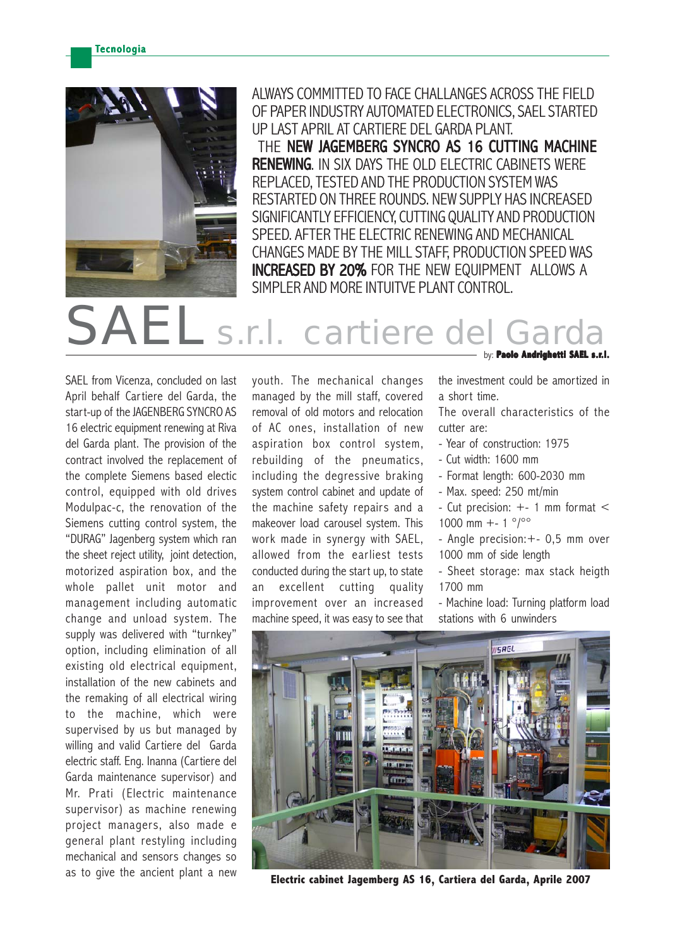

ALWAYS COMMITTED TO FACE CHALLANGES ACROSS THE FIELD OF PAPER INDUSTRY AUTOMATED ELECTRONICS, SAEL STARTED UP LAST APRIL AT CARTIERE DEL GARDA PLANT. THE NEW JAGEMBERG SYNCRO AS 16 CUTTING MACHINE RENEWING. IN SIX DAYS THE OLD ELECTRIC CABINETS WERE

REPLACED, TESTED AND THE PRODUCTION SYSTEM WAS RESTARTED ON THREE ROUNDS. NEW SUPPLY HAS INCREASED SIGNIFICANTLY EFFICIENCY, CUTTING QUALITY AND PRODUCTION SPEED. AFTER THE ELECTRIC RENEWING AND MECHANICAL CHANGES MADE BY THE MILL STAFF, PRODUCTION SPEED WAS INCREASED BY 20% FOR THE NEW EQUIPMENT ALLOWS A SIMPLER AND MORE INTUITVE PLANT CONTROL.

## S.r.l. cartiere de

SAEL from Vicenza, concluded on last April behalf Cartiere del Garda, the start-up of the JAGENBERG SYNCRO AS 16 electric equipment renewing at Riva del Garda plant. The provision of the contract involved the replacement of the complete Siemens based electic control, equipped with old drives Modulpac-c, the renovation of the Siemens cutting control system, the "DURAG" Jagenberg system which ran the sheet reject utility, joint detection, motorized aspiration box, and the whole pallet unit motor and management including automatic change and unload system. The supply was delivered with "turnkey" option, including elimination of all existing old electrical equipment, installation of the new cabinets and the remaking of all electrical wiring to the machine, which were supervised by us but managed by willing and valid Cartiere del Garda electric staff. Eng. Inanna (Cartiere del Garda maintenance supervisor) and Mr. Prati (Electric maintenance supervisor) as machine renewing project managers, also made e general plant restyling including mechanical and sensors changes so as to give the ancient plant a new

youth. The mechanical changes managed by the mill staff, covered removal of old motors and relocation of AC ones, installation of new aspiration box control system, rebuilding of the pneumatics, including the degressive braking system control cabinet and update of the machine safety repairs and a makeover load carousel system. This work made in synergy with SAEL, allowed from the earliest tests conducted during the start up, to state an excellent cutting quality improvement over an increased machine speed, it was easy to see that

by: **Paolo Andrighetti SAEL s.r.l.**

the investment could be amortized in a short time.

The overall characteristics of the cutter are:

- Year of construction: 1975
- Cut width: 1600 mm
- Format length: 600-2030 mm
- Max. speed: 250 mt/min
- Cut precision:  $+-1$  mm format  $<$ 1000 mm +- 1  $\degree$ / $\degree$
- Angle precision:+- 0,5 mm over 1000 mm of side length
- Sheet storage: max stack heigth 1700 mm

- Machine load: Turning platform load stations with 6 unwinders



**Electric cabinet Jagemberg AS 16, Cartiera del Garda, Aprile 2007**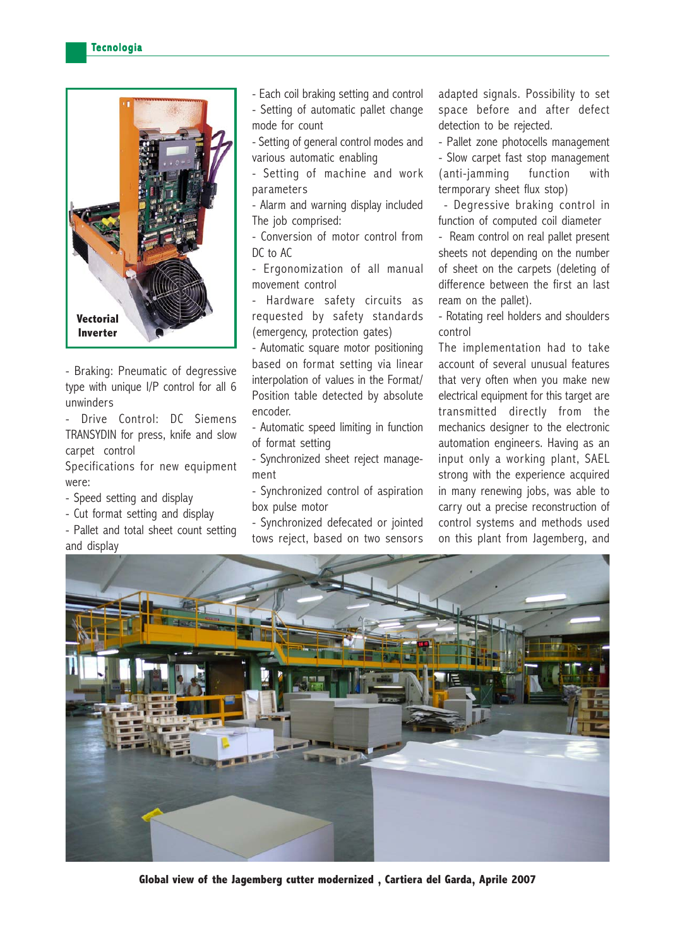

- Braking: Pneumatic of degressive type with unique I/P control for all 6 unwinders

- Drive Control: DC Siemens TRANSYDIN for press, knife and slow carpet control

Specifications for new equipment were:

- Speed setting and display
- Cut format setting and display

- Pallet and total sheet count setting and display

- Each coil braking setting and control - Setting of automatic pallet change mode for count

- Setting of general control modes and various automatic enabling

- Setting of machine and work parameters

- Alarm and warning display included The job comprised:

- Conversion of motor control from DC to AC

- Ergonomization of all manual movement control

Hardware safety circuits as requested by safety standards (emergency, protection gates)

- Automatic square motor positioning based on format setting via linear interpolation of values in the Format/ Position table detected by absolute encoder.

- Automatic speed limiting in function of format setting

- Synchronized sheet reject management

- Synchronized control of aspiration box pulse motor

- Synchronized defecated or jointed tows reject, based on two sensors adapted signals. Possibility to set space before and after defect detection to be rejected.

- Pallet zone photocells management - Slow carpet fast stop management (anti-jamming function with termporary sheet flux stop)

 - Degressive braking control in function of computed coil diameter

- Ream control on real pallet present sheets not depending on the number of sheet on the carpets (deleting of difference between the first an last ream on the pallet).

- Rotating reel holders and shoulders control

The implementation had to take account of several unusual features that very often when you make new electrical equipment for this target are transmitted directly from the mechanics designer to the electronic automation engineers. Having as an input only a working plant, SAEL strong with the experience acquired in many renewing jobs, was able to carry out a precise reconstruction of control systems and methods used on this plant from Jagemberg, and



**Global view of the Jagemberg cutter modernized , Cartiera del Garda, Aprile 2007**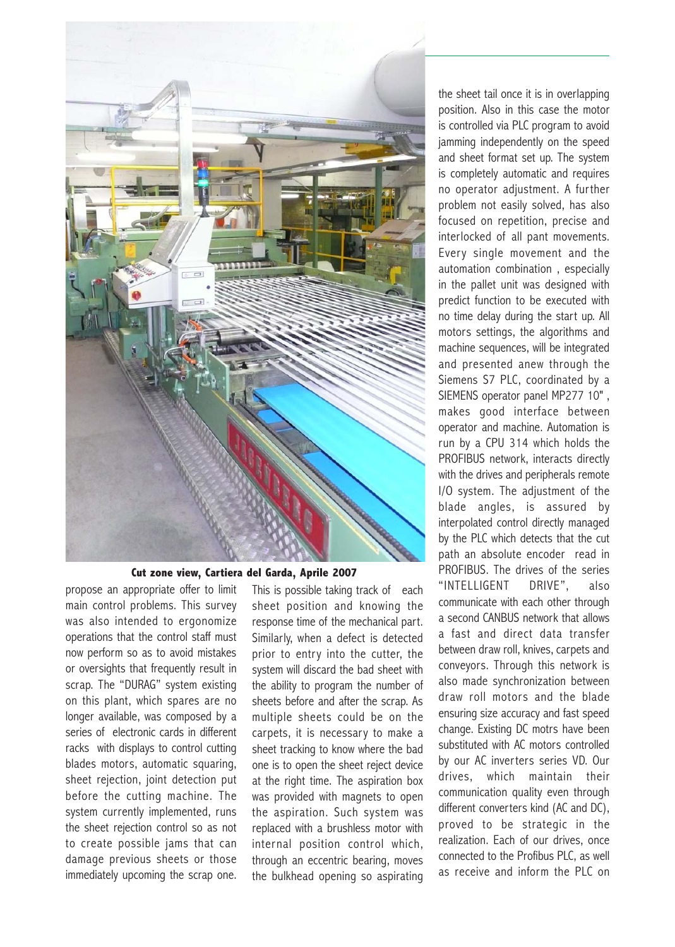

## **Cut zone view, Cartiera del Garda, Aprile 2007**

propose an appropriate offer to limit main control problems. This survey was also intended to ergonomize operations that the control staff must now perform so as to avoid mistakes or oversights that frequently result in scrap. The "DURAG" system existing on this plant, which spares are no longer available, was composed by a series of electronic cards in different racks with displays to control cutting blades motors, automatic squaring, sheet rejection, joint detection put before the cutting machine. The system currently implemented, runs the sheet rejection control so as not to create possible jams that can damage previous sheets or those immediately upcoming the scrap one.

This is possible taking track of each sheet position and knowing the response time of the mechanical part. Similarly, when a defect is detected prior to entry into the cutter, the system will discard the bad sheet with the ability to program the number of sheets before and after the scrap. As multiple sheets could be on the carpets, it is necessary to make a sheet tracking to know where the bad one is to open the sheet reject device at the right time. The aspiration box was provided with magnets to open the aspiration. Such system was replaced with a brushless motor with internal position control which, through an eccentric bearing, moves the bulkhead opening so aspirating the sheet tail once it is in overlapping position. Also in this case the motor is controlled via PLC program to avoid jamming independently on the speed and sheet format set up. The system is completely automatic and requires no operator adjustment. A further problem not easily solved, has also focused on repetition, precise and interlocked of all pant movements. Every single movement and the automation combination , especially in the pallet unit was designed with predict function to be executed with no time delay during the start up. All motors settings, the algorithms and machine sequences, will be integrated and presented anew through the Siemens S7 PLC, coordinated by a SIEMENS operator panel MP277 10" , makes good interface between operator and machine. Automation is run by a CPU 314 which holds the PROFIBUS network, interacts directly with the drives and peripherals remote I/O system. The adjustment of the blade angles, is assured by interpolated control directly managed by the PLC which detects that the cut path an absolute encoder read in PROFIBUS. The drives of the series "INTELLIGENT DRIVE", also communicate with each other through a second CANBUS network that allows a fast and direct data transfer between draw roll, knives, carpets and conveyors. Through this network is also made synchronization between draw roll motors and the blade ensuring size accuracy and fast speed change. Existing DC motrs have been substituted with AC motors controlled by our AC inverters series VD. Our drives, which maintain their communication quality even through different converters kind (AC and DC), proved to be strategic in the realization. Each of our drives, once connected to the Profibus PLC, as well as receive and inform the PLC on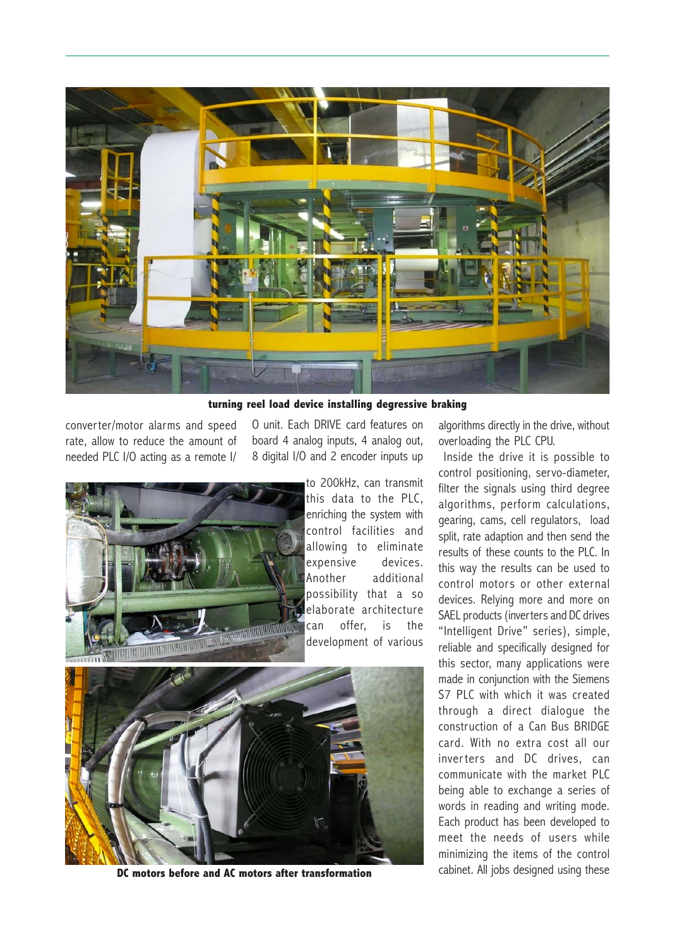

**turning reel load device installing degressive braking**

converter/motor alarms and speed rate, allow to reduce the amount of needed PLC I/O acting as a remote I/ O unit. Each DRIVE card features on board 4 analog inputs, 4 analog out, 8 digital I/O and 2 encoder inputs up



to 200kHz, can transmit this data to the PLC, enriching the system with control facilities and allowing to eliminate expensive devices. Another additional possibility that a so elaborate architecture can offer, is the development of various



**DC motors before and AC motors after transformation**

algorithms directly in the drive, without overloading the PLC CPU.

 Inside the drive it is possible to control positioning, servo-diameter, filter the signals using third degree algorithms, perform calculations, gearing, cams, cell regulators, load split, rate adaption and then send the results of these counts to the PLC. In this way the results can be used to control motors or other external devices. Relying more and more on SAEL products (inverters and DC drives "Intelligent Drive" series), simple, reliable and specifically designed for this sector, many applications were made in conjunction with the Siemens S7 PLC with which it was created through a direct dialogue the construction of a Can Bus BRIDGE card. With no extra cost all our inverters and DC drives, can communicate with the market PLC being able to exchange a series of words in reading and writing mode. Each product has been developed to meet the needs of users while minimizing the items of the control cabinet. All jobs designed using these